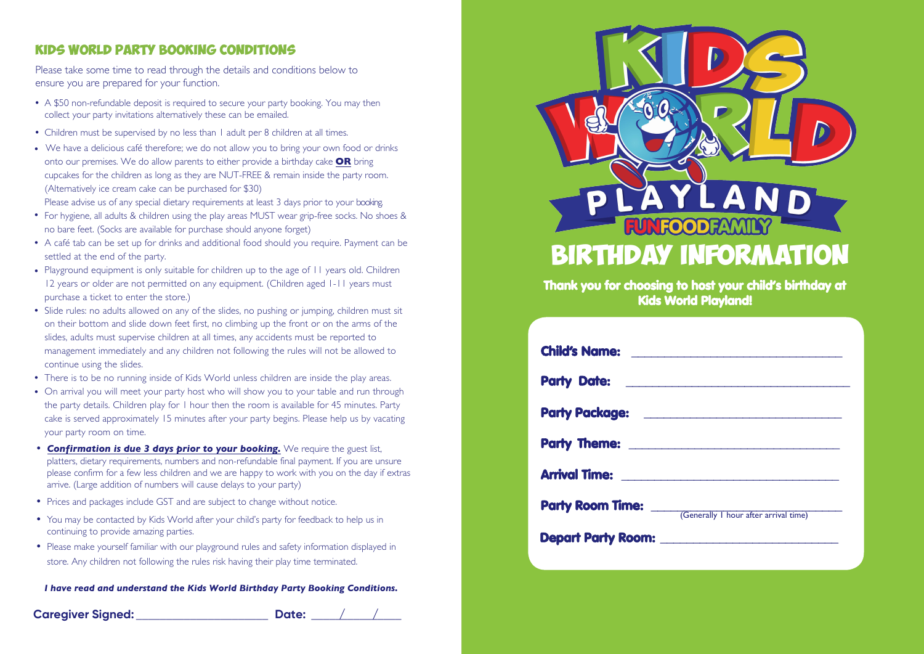### **Kids World PARTY BOOKING Conditions**

Please take some time to read through the details and conditions below to ensure you are prepared for your function.

- **•** A \$50 non-refundable deposit is required to secure your party booking. You may then collect your party invitations alternatively these can be emailed.
- **•** Children must be supervised by no less than 1 adult per 8 children at all times.
- **•** We have a delicious café therefore; we do not allow you to bring your own food or drinks onto our premises. We do allow parents to either provide a birthday cake **OR** bring cupcakes for the children as long as they are NUT-FREE & remain inside the party room. (Alternatively ice cream cake can be purchased for \$30)

Please advise us of any special dietary requirements at least 3 days prior to your booking.

- For hygiene, all adults & children using the play areas MUST wear grip-free socks. No shoes & **•** no bare feet. (Socks are available for purchase should anyone forget)
- **•** A café tab can be set up for drinks and additional food should you require. Payment can be settled at the end of the party.
- **•** Playground equipment is only suitable for children up to the age of 11 years old. Children 12 years or older are not permitted on any equipment. (Children aged 1-11 years must purchase a ticket to enter the store.)
- **•** Slide rules: no adults allowed on any of the slides, no pushing or jumping, children must sit on their bottom and slide down feet first, no climbing up the front or on the arms of the slides, adults must supervise children at all times, any accidents must be reported to management immediately and any children not following the rules will not be allowed to continue using the slides.
- There is to be no running inside of Kids World unless children are inside the play areas. **•**
- **•** On arrival you will meet your party host who will show you to your table and run through the party details. Children play for 1 hour then the room is available for 45 minutes. Party cake is served approximately 15 minutes after your party begins. Please help us by vacating your party room on time.
- **•** *Confirmation is due 3 days prior to your booking.* We require the guest list, platters, dietary requirements, numbers and non-refundable final payment. If you are unsure please confirm for a few less children and we are happy to work with you on the day if extras arrive. (Large addition of numbers will cause delays to your party)
- **•** Prices and packages include GST and are subject to change without notice.
- **•** You may be contacted by Kids World after your child's party for feedback to help us in continuing to provide amazing parties.
- **•** Please make yourself familiar with our playground rules and safety information displayed in store. Any children not following the rules risk having their play time terminated.

*I have read and understand the Kids World Birthday Party Booking Conditions.*

## **Caregiver Signed:** \_\_\_\_\_\_\_\_\_\_\_\_\_\_\_\_\_\_\_\_\_\_ **Date:** \_\_\_\_\_\_\_\_\_\_\_\_\_\_\_ **/ /**



Thank you for choosing to host your child's birthday at Kids World Playland!

|                                                    | <b>Child's Name:</b> <u>______________________________</u>   |
|----------------------------------------------------|--------------------------------------------------------------|
| <b>Party Date:</b> <u>________________________</u> |                                                              |
|                                                    |                                                              |
|                                                    |                                                              |
|                                                    |                                                              |
|                                                    | <b>Party Room Time:</b> Cenerally I hour after arrival time) |
|                                                    | Depart Party Room: <u>____________________________</u>       |